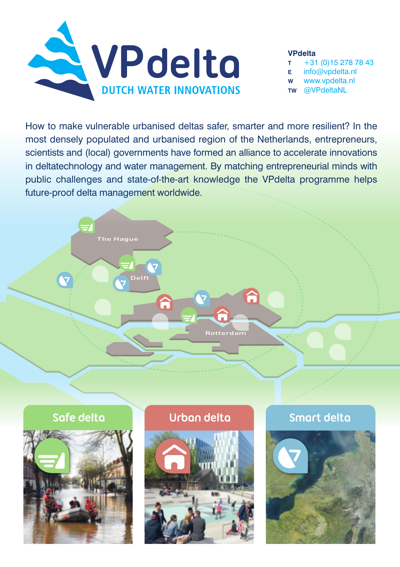

#### **VPdelta**

- **T** +31 (0)15 278 78 43 **E** info@vpdelta.nl
- **W** www.vpdelta.nl
- **TW** @VPdeltaNL

How to make vulnerable urbanised deltas safer, smarter and more resilient? In the most densely populated and urbanised region of the Netherlands, entrepreneurs, scientists and (local) governments have formed an alliance to accelerate innovations in deltatechnology and water management. By matching entrepreneurial minds with public challenges and state-of-the-art knowledge the VPdelta programme helps future-proof delta management worldwide.







# **Safe delta Urban delta Smart delta**